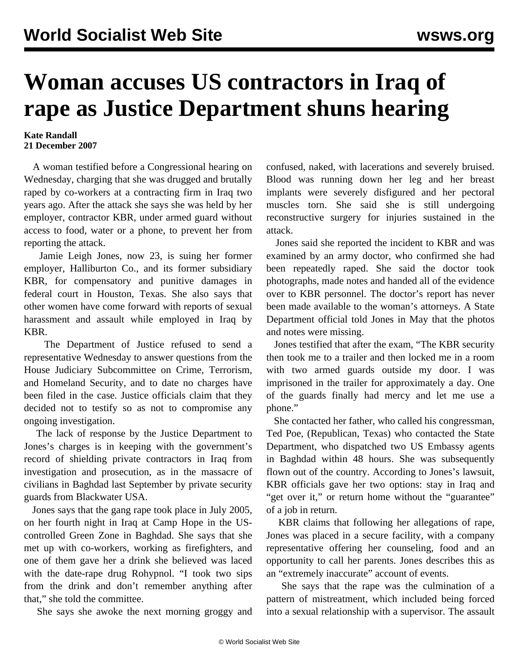## **Woman accuses US contractors in Iraq of rape as Justice Department shuns hearing**

## **Kate Randall 21 December 2007**

 A woman testified before a Congressional hearing on Wednesday, charging that she was drugged and brutally raped by co-workers at a contracting firm in Iraq two years ago. After the attack she says she was held by her employer, contractor KBR, under armed guard without access to food, water or a phone, to prevent her from reporting the attack.

 Jamie Leigh Jones, now 23, is suing her former employer, Halliburton Co., and its former subsidiary KBR, for compensatory and punitive damages in federal court in Houston, Texas. She also says that other women have come forward with reports of sexual harassment and assault while employed in Iraq by KBR.

 The Department of Justice refused to send a representative Wednesday to answer questions from the House Judiciary Subcommittee on Crime, Terrorism, and Homeland Security, and to date no charges have been filed in the case. Justice officials claim that they decided not to testify so as not to compromise any ongoing investigation.

 The lack of response by the Justice Department to Jones's charges is in keeping with the government's record of shielding private contractors in Iraq from investigation and prosecution, as in the massacre of civilians in Baghdad last September by private security guards from Blackwater USA.

 Jones says that the gang rape took place in July 2005, on her fourth night in Iraq at Camp Hope in the UScontrolled Green Zone in Baghdad. She says that she met up with co-workers, working as firefighters, and one of them gave her a drink she believed was laced with the date-rape drug Rohypnol. "I took two sips from the drink and don't remember anything after that," she told the committee.

She says she awoke the next morning groggy and

confused, naked, with lacerations and severely bruised. Blood was running down her leg and her breast implants were severely disfigured and her pectoral muscles torn. She said she is still undergoing reconstructive surgery for injuries sustained in the attack.

 Jones said she reported the incident to KBR and was examined by an army doctor, who confirmed she had been repeatedly raped. She said the doctor took photographs, made notes and handed all of the evidence over to KBR personnel. The doctor's report has never been made available to the woman's attorneys. A State Department official told Jones in May that the photos and notes were missing.

 Jones testified that after the exam, "The KBR security then took me to a trailer and then locked me in a room with two armed guards outside my door. I was imprisoned in the trailer for approximately a day. One of the guards finally had mercy and let me use a phone."

 She contacted her father, who called his congressman, Ted Poe, (Republican, Texas) who contacted the State Department, who dispatched two US Embassy agents in Baghdad within 48 hours. She was subsequently flown out of the country. According to Jones's lawsuit, KBR officials gave her two options: stay in Iraq and "get over it," or return home without the "guarantee" of a job in return.

 KBR claims that following her allegations of rape, Jones was placed in a secure facility, with a company representative offering her counseling, food and an opportunity to call her parents. Jones describes this as an "extremely inaccurate" account of events.

 She says that the rape was the culmination of a pattern of mistreatment, which included being forced into a sexual relationship with a supervisor. The assault